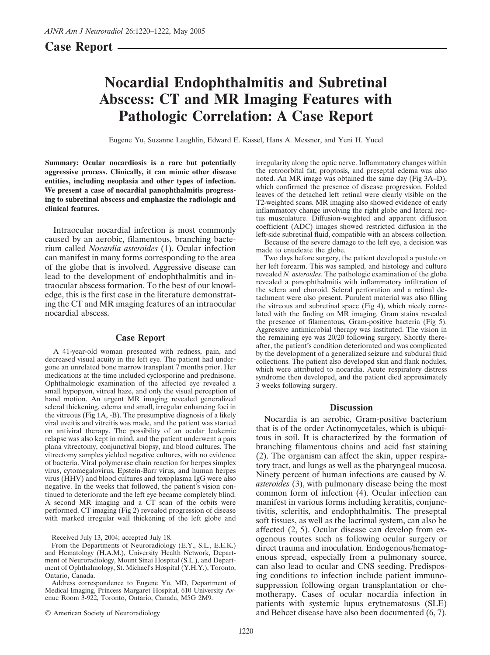# **Case Report**

# **Nocardial Endophthalmitis and Subretinal Abscess: CT and MR Imaging Features with Pathologic Correlation: A Case Report**

Eugene Yu, Suzanne Laughlin, Edward E. Kassel, Hans A. Messner, and Yeni H. Yucel

**Summary: Ocular nocardiosis is a rare but potentially aggressive process. Clinically, it can mimic other disease entities, including neoplasia and other types of infection. We present a case of nocardial panophthalmitis progressing to subretinal abscess and emphasize the radiologic and clinical features.**

Intraocular nocardial infection is most commonly caused by an aerobic, filamentous, branching bacterium called *Nocardia asteroides* (1). Ocular infection can manifest in many forms corresponding to the area of the globe that is involved. Aggressive disease can lead to the development of endophthalmitis and intraocular abscess formation. To the best of our knowledge, this is the first case in the literature demonstrating the CT and MR imaging features of an intraocular nocardial abscess.

### **Case Report**

A 41-year-old woman presented with redness, pain, and decreased visual acuity in the left eye. The patient had undergone an unrelated bone marrow transplant  $\overline{7}$  months prior. Her medications at the time included cyclosporine and prednisone. Ophthalmologic examination of the affected eye revealed a small hypopyon, vitreal haze, and only the visual perception of hand motion. An urgent MR imaging revealed generalized scleral thickening, edema and small, irregular enhancing foci in the vitreous (Fig 1A, -B). The presumptive diagnosis of a likely viral uveitis and vitreitis was made, and the patient was started on antiviral therapy. The possibility of an ocular leukemic relapse was also kept in mind, and the patient underwent a pars plana vitrectomy, conjunctival biopsy, and blood cultures. The vitrectomy samples yielded negative cultures, with no evidence of bacteria. Viral polymerase chain reaction for herpes simplex virus, cytomegalovirus, Epstein-Barr virus, and human herpes virus (HHV) and blood cultures and toxoplasma IgG were also negative. In the weeks that followed, the patient's vision continued to deteriorate and the left eye became completely blind. A second MR imaging and a CT scan of the orbits were performed. CT imaging (Fig 2) revealed progression of disease with marked irregular wall thickening of the left globe and

© American Society of Neuroradiology

irregularity along the optic nerve. Inflammatory changes within the retroorbital fat, proptosis, and preseptal edema was also noted. An MR image was obtained the same day (Fig 3A–D), which confirmed the presence of disease progression. Folded leaves of the detached left retinal were clearly visible on the T2-weighted scans. MR imaging also showed evidence of early inflammatory change involving the right globe and lateral rectus musculature. Diffusion-weighted and apparent diffusion coefficient (ADC) images showed restricted diffusion in the left-side subretinal fluid, compatible with an abscess collection.

Because of the severe damage to the left eye, a decision was made to enucleate the globe.

Two days before surgery, the patient developed a pustule on her left forearm. This was sampled, and histology and culture revealed *N. asteroides.* The pathologic examination of the globe revealed a panophthalmitis with inflammatory infiltration of the sclera and choroid. Scleral perforation and a retinal detachment were also present. Purulent material was also filling the vitreous and subretinal space (Fig 4), which nicely correlated with the finding on MR imaging. Gram stains revealed the presence of filamentous, Gram-positive bacteria (Fig 5). Aggressive antimicrobial therapy was instituted. The vision in the remaining eye was 20/20 following surgery. Shortly thereafter, the patient's condition deteriorated and was complicated by the development of a generalized seizure and subdural fluid collections. The patient also developed skin and flank nodules, which were attributed to nocardia. Acute respiratory distress syndrome then developed, and the patient died approximately 3 weeks following surgery.

#### **Discussion**

Nocardia is an aerobic, Gram-positive bacterium that is of the order Actinomycetales, which is ubiquitous in soil. It is characterized by the formation of branching filamentous chains and acid fast staining (2). The organism can affect the skin, upper respiratory tract, and lungs as well as the pharyngeal mucosa. Ninety percent of human infections are caused by *N. asteroides* (3), with pulmonary disease being the most common form of infection (4). Ocular infection can manifest in various forms including keratitis, conjunctivitis, scleritis, and endophthalmitis. The preseptal soft tissues, as well as the lacrimal system, can also be affected (2, 5). Ocular disease can develop from exogenous routes such as following ocular surgery or direct trauma and inoculation. Endogenous/hematogenous spread, especially from a pulmonary source, can also lead to ocular and CNS seeding. Predisposing conditions to infection include patient immunosuppression following organ transplantation or chemotherapy. Cases of ocular nocardia infection in patients with systemic lupus erytnematosus (SLE) and Behcet disease have also been documented (6, 7).

Received July 13, 2004; accepted July 18.

From the Departments of Neuroradiology (E.Y., S.L., E.E.K.) and Hematology (H.A.M.), University Health Network, Department of Neuroradiology, Mount Sinai Hospital (S.L.), and Department of Ophthalmology, St. Michael's Hospital (Y.H.Y.), Toronto, Ontario, Canada.

Address correspondence to Eugene Yu, MD, Department of Medical Imaging, Princess Margaret Hospital, 610 University Avenue Room 3-922, Toronto, Ontario, Canada, M5G 2M9.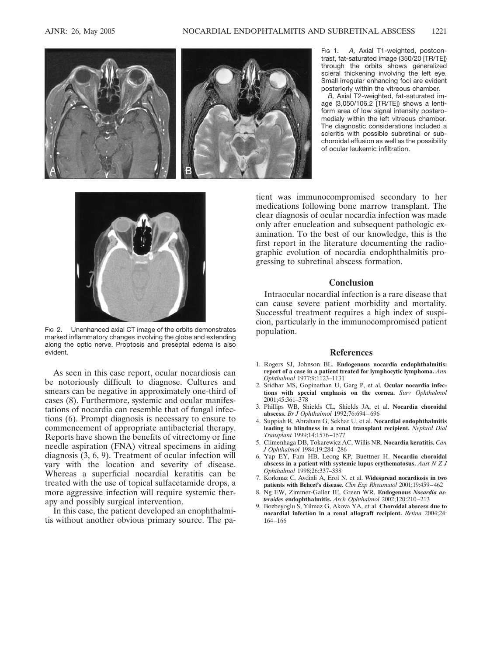

F<sub>IG</sub> 1. A, Axial T1-weighted, postcontrast, fat-saturated image (350/20 [TR/TE]) through the orbits shows generalized scleral thickening involving the left eye. Small irregular enhancing foci are evident posteriorly within the vitreous chamber.

*B,* Axial T2-weighted, fat-saturated image (3,050/106.2 [TR/TE]) shows a lentiform area of low signal intensity posteromedialy within the left vitreous chamber. The diagnostic considerations included a scleritis with possible subretinal or subchoroidal effusion as well as the possibility of ocular leukemic infiltration.



Fig 2. Unenhanced axial CT image of the orbits demonstrates marked inflammatory changes involving the globe and extending along the optic nerve. Proptosis and preseptal edema is also evident.

As seen in this case report, ocular nocardiosis can be notoriously difficult to diagnose. Cultures and smears can be negative in approximately one-third of cases (8). Furthermore, systemic and ocular manifestations of nocardia can resemble that of fungal infections (6). Prompt diagnosis is necessary to ensure to commencement of appropriate antibacterial therapy. Reports have shown the benefits of vitrectomy or fine needle aspiration (FNA) vitreal specimens in aiding diagnosis (3, 6, 9). Treatment of ocular infection will vary with the location and severity of disease. Whereas a superficial nocardial keratitis can be treated with the use of topical sulfacetamide drops, a more aggressive infection will require systemic therapy and possibly surgical intervention.

In this case, the patient developed an enophthalmitis without another obvious primary source. The pa-

tient was immunocompromised secondary to her medications following bone marrow transplant. The clear diagnosis of ocular nocardia infection was made only after enucleation and subsequent pathologic examination. To the best of our knowledge, this is the first report in the literature documenting the radiographic evolution of nocardia endophthalmitis progressing to subretinal abscess formation.

## **Conclusion**

Intraocular nocardial infection is a rare disease that can cause severe patient morbidity and mortality. Successful treatment requires a high index of suspicion, particularly in the immunocompromised patient population.

#### **References**

- 1. Rogers SJ, Johnson BL. **Endogenous nocardia endophthalmitis: report of a case in a patient treated for lymphocytic lymphoma.** *Ann Ophthalmol* 1977;9:1123–1131
- 2. Sridhar MS, Gopinathan U, Garg P, et al. **Ocular nocardia infections with special emphasis on the cornea.** *Surv Ophthalmol* 2001;45:361–378
- 3. Phillips WB, Shields CL, Shields JA, et al. **Nocardia choroidal abscess.** *Br J Ophthalmol* 1992;76:694 – 696
- 4. Suppiah R, Abraham G, Sekhar U, et al. **Nocardial endophthalmitis leading to blindness in a renal transplant recipient.** *Nephrol Dial Transplant* 1999;14:1576 –1577
- 5. Climenhaga DB, Tokarewicz AC, Willis NR. **Nocardia keratitis.** *Can J Ophthalmol* 1984;19:284 –286
- 6. Yap EY, Fam HB, Leong KP, Buettner H. **Nocardia choroidal abscess in a patient with systemic lupus erythematosus.** *Aust N Z J Ophthalmol* 1998;26:337–338
- 7. Korkmaz C, Aydinli A, Erol N, et al. **Widespread nocardiosis in two patients with Behcet's disease.** *Clin Exp Rheumatol* 2001;19:459 – 462
- 8. Ng EW, Zimmer-Galler IE, Green WR. **Endogenous** *Nocardia asteroides* **endophthalmitis.** *Arch Ophthalmol* 2002;120:210 –213
- 9. Bozbeyoglu S, Yilmaz G, Akova YA, et al. **Choroidal abscess due to nocardial infection in a renal allograft recipient.** *Retina* 2004;24: 164 –166